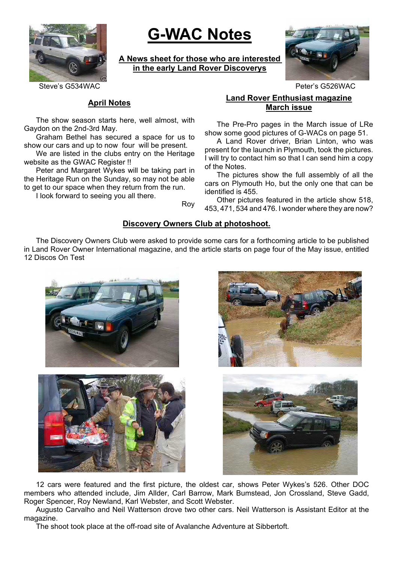

# **G-WAC Notes**

**A News sheet for those who are interested in the early Land Rover Discoverys**



Steve's G534WAC Peter's G526WAC

## **April Notes**

The show season starts here, well almost, with Gaydon on the 2nd-3rd May.

Graham Bethel has secured a space for us to show our cars and up to now four will be present.

We are listed in the clubs entry on the Heritage website as the GWAC Register !!

Peter and Margaret Wykes will be taking part in the Heritage Run on the Sunday, so may not be able to get to our space when they return from the run.

I look forward to seeing you all there.

# **Land Rover Enthusiast magazine March issue**

The Pre-Pro pages in the March issue of LRe show some good pictures of G-WACs on page 51.

A Land Rover driver, Brian Linton, who was present for the launch in Plymouth, took the pictures. I will try to contact him so that I can send him a copy of the Notes.

The pictures show the full assembly of all the cars on Plymouth Ho, but the only one that can be identified is 455.

Other pictures featured in the article show 518, 453, 471, 534 and 476. I wonder where they are now?

# **Discovery Owners Club at photoshoot.**

Roy

The Discovery Owners Club were asked to provide some cars for a forthcoming article to be published in Land Rover Owner International magazine, and the article starts on page four of the May issue, entitled 12 Discos On Test









12 cars were featured and the first picture, the oldest car, shows Peter Wykes's 526. Other DOC members who attended include, Jim Allder, Carl Barrow, Mark Bumstead, Jon Crossland, Steve Gadd, Roger Spencer, Roy Newland, Karl Webster, and Scott Webster.

Augusto Carvalho and Neil Watterson drove two other cars. Neil Watterson is Assistant Editor at the magazine.

The shoot took place at the off-road site of Avalanche Adventure at Sibbertoft.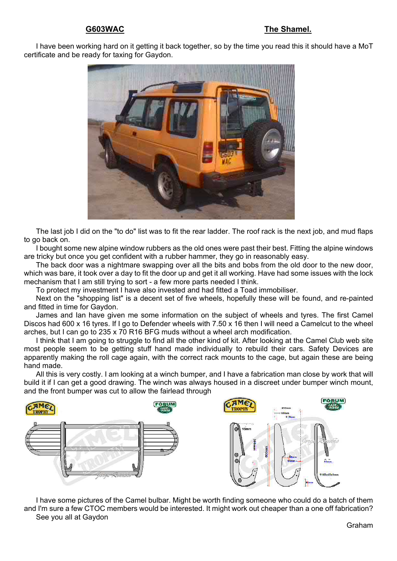#### **G603WAC The Shamel.**

I have been working hard on it getting it back together, so by the time you read this it should have a MoT certificate and be ready for taxing for Gaydon.



The last job I did on the "to do" list was to fit the rear ladder. The roof rack is the next job, and mud flaps to go back on.

I bought some new alpine window rubbers as the old ones were past their best. Fitting the alpine windows are tricky but once you get confident with a rubber hammer, they go in reasonably easy.

The back door was a nightmare swapping over all the bits and bobs from the old door to the new door, which was bare, it took over a day to fit the door up and get it all working. Have had some issues with the lock mechanism that I am still trying to sort - a few more parts needed I think.

To protect my investment I have also invested and had fitted a Toad immobiliser.

Next on the "shopping list" is a decent set of five wheels, hopefully these will be found, and re-painted and fitted in time for Gaydon.

James and Ian have given me some information on the subject of wheels and tyres. The first Camel Discos had 600 x 16 tyres. If I go to Defender wheels with 7.50 x 16 then I will need a Camelcut to the wheel arches, but I can go to 235 x 70 R16 BFG muds without a wheel arch modification.

I think that I am going to struggle to find all the other kind of kit. After looking at the Camel Club web site most people seem to be getting stuff hand made individually to rebuild their cars. Safety Devices are apparently making the roll cage again, with the correct rack mounts to the cage, but again these are being hand made.

All this is very costly. I am looking at a winch bumper, and I have a fabrication man close by work that will build it if I can get a good drawing. The winch was always housed in a discreet under bumper winch mount, and the front bumper was cut to allow the fairlead through



I have some pictures of the Camel bulbar. Might be worth finding someone who could do a batch of them and I'm sure a few CTOC members would be interested. It might work out cheaper than a one off fabrication? See you all at Gaydon